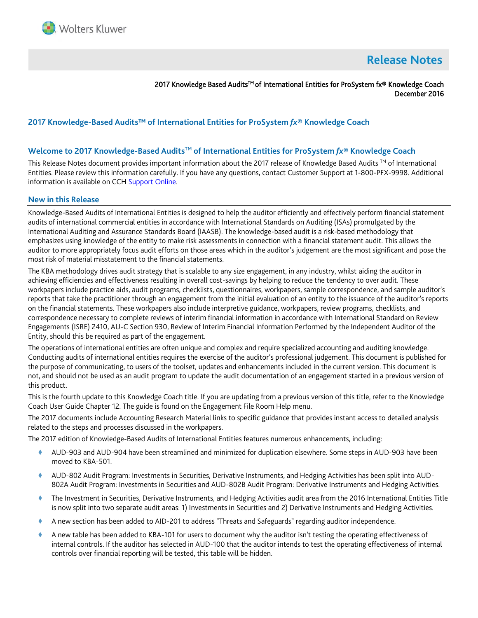

# **Release Notes**

2017 Knowledge Based Audits<sup>™</sup> of International Entities for ProSystem fx® Knowledge Coach December 2016

# **2017 Knowledge-Based Audits™ of International Entities for ProSystem** *fx***® Knowledge Coach**

## **Welcome to 2017 Knowledge-Based AuditsTM of International Entities for ProSystem** *fx***® Knowledge Coach**

This Release Notes document provides important information about the 2017 release of Knowledge Based Audits ™ of International Entities. Please review this information carefully. If you have any questions, contact Customer Support at 1-800-PFX-9998. Additional information is available on CC[H Support Online.](http://support.cch.com/productsupport/)

#### **New in this Release**

Knowledge-Based Audits of International Entities is designed to help the auditor efficiently and effectively perform financial statement audits of international commercial entities in accordance with International Standards on Auditing (ISAs) promulgated by the International Auditing and Assurance Standards Board (IAASB). The knowledge-based audit is a risk-based methodology that emphasizes using knowledge of the entity to make risk assessments in connection with a financial statement audit. This allows the auditor to more appropriately focus audit efforts on those areas which in the auditor's judgement are the most significant and pose the most risk of material misstatement to the financial statements.

The KBA methodology drives audit strategy that is scalable to any size engagement, in any industry, whilst aiding the auditor in achieving efficiencies and effectiveness resulting in overall cost-savings by helping to reduce the tendency to over audit. These workpapers include practice aids, audit programs, checklists, questionnaires, workpapers, sample correspondence, and sample auditor's reports that take the practitioner through an engagement from the initial evaluation of an entity to the issuance of the auditor's reports on the financial statements. These workpapers also include interpretive guidance, workpapers, review programs, checklists, and correspondence necessary to complete reviews of interim financial information in accordance with International Standard on Review Engagements (ISRE) 2410, AU-C Section 930, Review of Interim Financial Information Performed by the Independent Auditor of the Entity, should this be required as part of the engagement.

The operations of international entities are often unique and complex and require specialized accounting and auditing knowledge. Conducting audits of international entities requires the exercise of the auditor's professional judgement. This document is published for the purpose of communicating, to users of the toolset, updates and enhancements included in the current version. This document is not, and should not be used as an audit program to update the audit documentation of an engagement started in a previous version of this product.

This is the fourth update to this Knowledge Coach title. If you are updating from a previous version of this title, refer to the Knowledge Coach User Guide Chapter 12. The guide is found on the Engagement File Room Help menu.

The 2017 documents include Accounting Research Material links to specific guidance that provides instant access to detailed analysis related to the steps and processes discussed in the workpapers.

The 2017 edition of Knowledge-Based Audits of International Entities features numerous enhancements, including:

- AUD-903 and AUD-904 have been streamlined and minimized for duplication elsewhere. Some steps in AUD-903 have been moved to KBA-501.
- AUD-802 Audit Program: Investments in Securities, Derivative Instruments, and Hedging Activities has been split into AUD-802A Audit Program: Investments in Securities and AUD-802B Audit Program: Derivative Instruments and Hedging Activities.
- The Investment in Securities, Derivative Instruments, and Hedging Activities audit area from the 2016 International Entities Title is now split into two separate audit areas: 1) Investments in Securities and 2) Derivative Instruments and Hedging Activities.
- A new section has been added to AID-201 to address "Threats and Safeguards" regarding auditor independence.
- A new table has been added to KBA-101 for users to document why the auditor isn't testing the operating effectiveness of internal controls. If the auditor has selected in AUD-100 that the auditor intends to test the operating effectiveness of internal controls over financial reporting will be tested, this table will be hidden.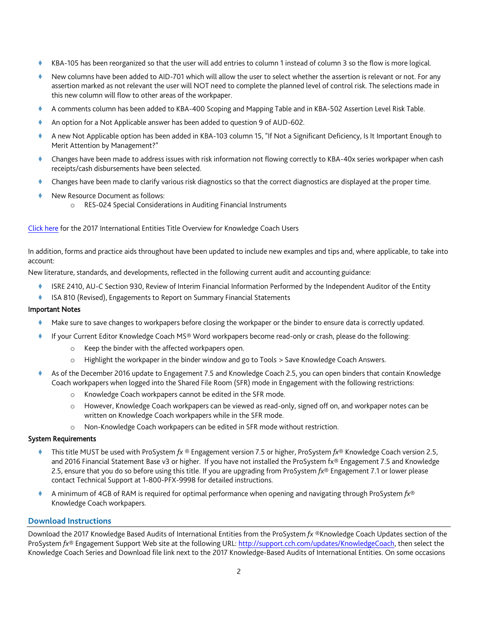- KBA-105 has been reorganized so that the user will add entries to column 1 instead of column 3 so the flow is more logical.
- New columns have been added to AID-701 which will allow the user to select whether the assertion is relevant or not. For any assertion marked as not relevant the user will NOT need to complete the planned level of control risk. The selections made in this new column will flow to other areas of the workpaper.
- A comments column has been added to KBA-400 Scoping and Mapping Table and in KBA-502 Assertion Level Risk Table.
- An option for a Not Applicable answer has been added to question 9 of AUD-602.
- A new Not Applicable option has been added in KBA-103 column 15, "If Not a Significant Deficiency, Is It Important Enough to Merit Attention by Management?"
- Changes have been made to address issues with risk information not flowing correctly to KBA-40x series workpaper when cash receipts/cash disbursements have been selected.
- Changes have been made to clarify various risk diagnostics so that the correct diagnostics are displayed at the proper time.
- New Resource Document as follows:
	- o RES-024 Special Considerations in Auditing Financial Instruments

#### [Click here](http://support.cch.com/updates/KnowledgeCoach/pdf/guides_tab/2017%20International%20Title%20Overview%20for%20Knowledge%20Coach%20Users.pdf) for the 2017 International Entities Title Overview for Knowledge Coach Users

In addition, forms and practice aids throughout have been updated to include new examples and tips and, where applicable, to take into account:

New literature, standards, and developments, reflected in the following current audit and accounting guidance:

- ISRE 2410, AU-C Section 930, Review of Interim Financial Information Performed by the Independent Auditor of the Entity
- ISA 810 (Revised), Engagements to Report on Summary Financial Statements

## Important Notes

- Make sure to save changes to workpapers before closing the workpaper or the binder to ensure data is correctly updated.
- If your Current Editor Knowledge Coach MS® Word workpapers become read-only or crash, please do the following:
	- o Keep the binder with the affected workpapers open.
	- o Highlight the workpaper in the binder window and go to Tools > Save Knowledge Coach Answers.
- As of the December 2016 update to Engagement 7.5 and Knowledge Coach 2.5, you can open binders that contain Knowledge Coach workpapers when logged into the Shared File Room (SFR) mode in Engagement with the following restrictions:
	- o Knowledge Coach workpapers cannot be edited in the SFR mode.
	- o However, Knowledge Coach workpapers can be viewed as read-only, signed off on, and workpaper notes can be written on Knowledge Coach workpapers while in the SFR mode.
	- o Non-Knowledge Coach workpapers can be edited in SFR mode without restriction.

#### System Requirements

- This title MUST be used with ProSystem *fx* ® Engagement version 7.5 or higher, ProSystem *fx*® Knowledge Coach version 2.5, and 2016 Financial Statement Base v3 or higher. If you have not installed the ProSystem fx® Engagement 7.5 and Knowledge 2.5, ensure that you do so before using this title. If you are upgrading from ProSystem *fx*® Engagement 7.1 or lower please contact Technical Support at 1-800-PFX-9998 for detailed instructions.
- A minimum of 4GB of RAM is required for optimal performance when opening and navigating through ProSystem *fx*® Knowledge Coach workpapers.

#### **Download Instructions**

Download the 2017 Knowledge Based Audits of International Entities from the ProSystem *fx* ®Knowledge Coach Updates section of the ProSystem *fx*® Engagement Support Web site at the following URL[: http://support.cch.com/updates/KnowledgeCoach,](http://support.cch.com/updates/KnowledgeCoach) then select the Knowledge Coach Series and Download file link next to the 2017 Knowledge-Based Audits of International Entities. On some occasions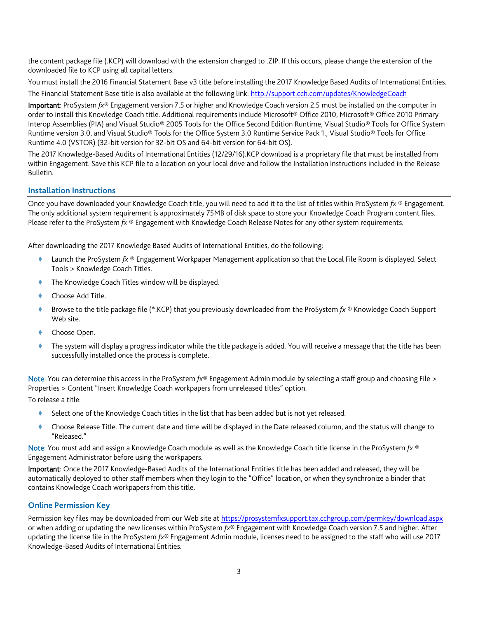the content package file (.KCP) will download with the extension changed to .ZIP. If this occurs, please change the extension of the downloaded file to KCP using all capital letters.

You must install the 2016 Financial Statement Base v3 title before installing the 2017 Knowledge Based Audits of International Entities. The Financial Statement Base title is also available at the following link:<http://support.cch.com/updates/KnowledgeCoach>

Important: ProSystem *fx*® Engagement version 7.5 or higher and Knowledge Coach version 2.5 must be installed on the computer in order to install this Knowledge Coach title. Additional requirements include Microsoft® Office 2010, Microsoft® Office 2010 Primary Interop Assemblies (PIA) and Visual Studio® 2005 Tools for the Office Second Edition Runtime, Visual Studio® Tools for Office System Runtime version 3.0, and Visual Studio® Tools for the Office System 3.0 Runtime Service Pack 1., Visual Studio® Tools for Office Runtime 4.0 (VSTOR) (32-bit version for 32-bit OS and 64-bit version for 64-bit OS).

The 2017 Knowledge-Based Audits of International Entities (12/29/16).KCP download is a proprietary file that must be installed from within Engagement. Save this KCP file to a location on your local drive and follow the Installation Instructions included in the Release Bulletin.

# **Installation Instructions**

Once you have downloaded your Knowledge Coach title, you will need to add it to the list of titles within ProSystem *fx* ® Engagement. The only additional system requirement is approximately 75MB of disk space to store your Knowledge Coach Program content files. Please refer to the ProSystem *fx* ® Engagement with Knowledge Coach Release Notes for any other system requirements.

After downloading the 2017 Knowledge Based Audits of International Entities, do the following:

- Launch the ProSystem *fx* ® Engagement Workpaper Management application so that the Local File Room is displayed. Select Tools > Knowledge Coach Titles.
- The Knowledge Coach Titles window will be displayed.
- Choose Add Title.
- Browse to the title package file (\*.KCP) that you previously downloaded from the ProSystem *fx* ® Knowledge Coach Support Web site.
- Choose Open.
- The system will display a progress indicator while the title package is added. You will receive a message that the title has been successfully installed once the process is complete.

Note: You can determine this access in the ProSystem *fx*® Engagement Admin module by selecting a staff group and choosing File > Properties > Content "Insert Knowledge Coach workpapers from unreleased titles" option.

To release a title:

- Select one of the Knowledge Coach titles in the list that has been added but is not yet released.
- Choose Release Title. The current date and time will be displayed in the Date released column, and the status will change to "Released."

Note: You must add and assign a Knowledge Coach module as well as the Knowledge Coach title license in the ProSystem *fx* ® Engagement Administrator before using the workpapers.

Important: Once the 2017 Knowledge-Based Audits of the International Entities title has been added and released, they will be automatically deployed to other staff members when they login to the "Office" location, or when they synchronize a binder that contains Knowledge Coach workpapers from this title.

# **Online Permission Key**

Permission key files may be downloaded from our Web site a[t https://prosystemfxsupport.tax.cchgroup.com/permkey/download.aspx](https://prosystemfxsupport.tax.cchgroup.com/permkey/download.aspx) or when adding or updating the new licenses within ProSystem *fx*® Engagement with Knowledge Coach version 7.5 and higher. After updating the license file in the ProSystem *fx*® Engagement Admin module, licenses need to be assigned to the staff who will use 2017 Knowledge-Based Audits of International Entities.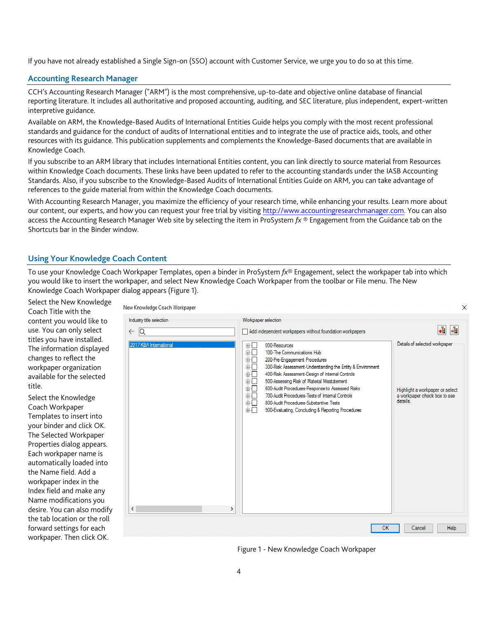If you have not already established a Single Sign-on (SSO) account with Customer Service, we urge you to do so at this time.

## **Accounting Research Manager**

CCH's Accounting Research Manager ("ARM") is the most comprehensive, up-to-date and objective online database of financial reporting literature. It includes all authoritative and proposed accounting, auditing, and SEC literature, plus independent, expert-written interpretive guidance.

Available on ARM, the Knowledge-Based Audits of International Entities Guide helps you comply with the most recent professional standards and guidance for the conduct of audits of International entities and to integrate the use of practice aids, tools, and other resources with its guidance. This publication supplements and complements the Knowledge-Based documents that are available in Knowledge Coach.

If you subscribe to an ARM library that includes International Entities content, you can link directly to source material from Resources within Knowledge Coach documents. These links have been updated to refer to the accounting standards under the IASB Accounting Standards. Also, if you subscribe to the Knowledge-Based Audits of International Entities Guide on ARM, you can take advantage of references to the guide material from within the Knowledge Coach documents.

With Accounting Research Manager, you maximize the efficiency of your research time, while enhancing your results. Learn more about our content, our experts, and how you can request your free trial by visiting [http://www.accountingresearchmanager.com.](http://www.accountingresearchmanager.com/) You can also access the Accounting Research Manager Web site by selecting the item in ProSystem *fx* ® Engagement from the Guidance tab on the Shortcuts bar in the Binder window.

# **Using Your Knowledge Coach Content**

To use your Knowledge Coach Workpaper Templates, open a binder in ProSystem *fx*® Engagement, select the workpaper tab into which you would like to insert the workpaper, and select New Knowledge Coach Workpaper from the toolbar or File menu. The New Knowledge Coach Workpaper dialog appears (Figure 1).

Select the New Knowledge Coach Title with the content you would like to use. You can only select titles you have installed. The information displayed changes to reflect the workpaper organization available for the selected title.

Select the Knowledge Coach Workpaper Templates to insert into your binder and click OK. The Selected Workpaper Properties dialog appears. Each workpaper name is automatically loaded into the Name field. Add a workpaper index in the Index field and make any Name modifications you desire. You can also modify the tab location or the roll forward settings for each workpaper. Then click OK.

| lew Knowledge Coach Workpaper                      |                                                                                                                                                                                                                                                                                                                                                                                                                                                                                                                                | Χ                                                                                                            |
|----------------------------------------------------|--------------------------------------------------------------------------------------------------------------------------------------------------------------------------------------------------------------------------------------------------------------------------------------------------------------------------------------------------------------------------------------------------------------------------------------------------------------------------------------------------------------------------------|--------------------------------------------------------------------------------------------------------------|
| Industry title selection<br>lQ<br>$\leftarrow$     | Workpaper selection<br>Add independent workpapers without foundation workpapers                                                                                                                                                                                                                                                                                                                                                                                                                                                | -e<br>+å                                                                                                     |
| 2017 KBA International<br>$\overline{\phantom{a}}$ | 000-Resources<br>田一<br>由一<br>100-The Communications Hub<br>200-Pre-Engagement Procedures<br>面示<br>300-Risk Assessment-Understanding the Entity & Environment<br>由一<br>400-Risk Assessment-Design of Internal Controls<br>田…<br>500-Assessing Risk of Material Misstatement<br>画画<br>600-Audit Procedures-Response to Assessed Risks<br>面一<br>700-Audit Procedures-Tests of Internal Controls<br>由一<br>800-Audit Procedures-Substantive Tests<br>面一<br>900-Evaluating, Concluding & Reporting Procedures<br>由一<br>$\rightarrow$ | Details of selected workpaper<br>Highlight a workpaper or select<br>a workpaper check box to see<br>details. |
|                                                    | OK                                                                                                                                                                                                                                                                                                                                                                                                                                                                                                                             | Help<br>Cancel                                                                                               |

Figure 1 - New Knowledge Coach Workpaper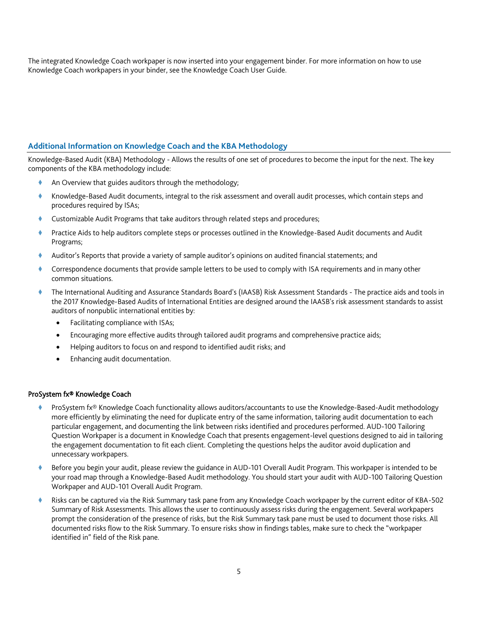The integrated Knowledge Coach workpaper is now inserted into your engagement binder. For more information on how to use Knowledge Coach workpapers in your binder, see the Knowledge Coach User Guide.

# **Additional Information on Knowledge Coach and the KBA Methodology**

Knowledge-Based Audit (KBA) Methodology - Allows the results of one set of procedures to become the input for the next. The key components of the KBA methodology include:

- An Overview that guides auditors through the methodology;
- Knowledge-Based Audit documents, integral to the risk assessment and overall audit processes, which contain steps and procedures required by ISAs;
- Customizable Audit Programs that take auditors through related steps and procedures;
- Practice Aids to help auditors complete steps or processes outlined in the Knowledge-Based Audit documents and Audit Programs;
- Auditor's Reports that provide a variety of sample auditor's opinions on audited financial statements; and
- Correspondence documents that provide sample letters to be used to comply with ISA requirements and in many other common situations.
- The International Auditing and Assurance Standards Board's (IAASB) Risk Assessment Standards The practice aids and tools in the 2017 Knowledge-Based Audits of International Entities are designed around the IAASB's risk assessment standards to assist auditors of nonpublic international entities by:
	- Facilitating compliance with ISAs;
	- Encouraging more effective audits through tailored audit programs and comprehensive practice aids;
	- Helping auditors to focus on and respond to identified audit risks; and
	- Enhancing audit documentation.

#### ProSystem fx® Knowledge Coach

- ProSystem fx® Knowledge Coach functionality allows auditors/accountants to use the Knowledge-Based-Audit methodology more efficiently by eliminating the need for duplicate entry of the same information, tailoring audit documentation to each particular engagement, and documenting the link between risks identified and procedures performed. AUD-100 Tailoring Question Workpaper is a document in Knowledge Coach that presents engagement-level questions designed to aid in tailoring the engagement documentation to fit each client. Completing the questions helps the auditor avoid duplication and unnecessary workpapers.
- Before you begin your audit, please review the guidance in AUD-101 Overall Audit Program. This workpaper is intended to be your road map through a Knowledge-Based Audit methodology. You should start your audit with AUD-100 Tailoring Question Workpaper and AUD-101 Overall Audit Program.
- Risks can be captured via the Risk Summary task pane from any Knowledge Coach workpaper by the current editor of KBA-502 Summary of Risk Assessments. This allows the user to continuously assess risks during the engagement. Several workpapers prompt the consideration of the presence of risks, but the Risk Summary task pane must be used to document those risks. All documented risks flow to the Risk Summary. To ensure risks show in findings tables, make sure to check the "workpaper identified in" field of the Risk pane.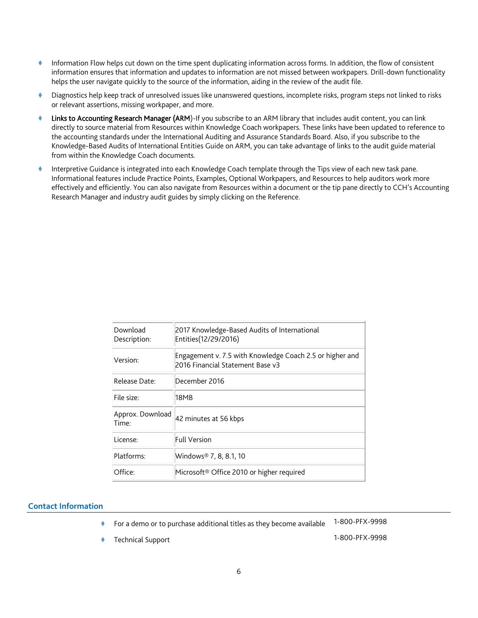- Information Flow helps cut down on the time spent duplicating information across forms. In addition, the flow of consistent information ensures that information and updates to information are not missed between workpapers. Drill-down functionality helps the user navigate quickly to the source of the information, aiding in the review of the audit file.
- Diagnostics help keep track of unresolved issues like unanswered questions, incomplete risks, program steps not linked to risks or relevant assertions, missing workpaper, and more.
- Links to Accounting Research Manager (ARM)-If you subscribe to an ARM library that includes audit content, you can link directly to source material from Resources within Knowledge Coach workpapers. These links have been updated to reference to the accounting standards under the International Auditing and Assurance Standards Board. Also, if you subscribe to the Knowledge-Based Audits of International Entities Guide on ARM, you can take advantage of links to the audit guide material from within the Knowledge Coach documents.
- Interpretive Guidance is integrated into each Knowledge Coach template through the Tips view of each new task pane. Informational features include Practice Points, Examples, Optional Workpapers, and Resources to help auditors work more effectively and efficiently. You can also navigate from Resources within a document or the tip pane directly to CCH's Accounting Research Manager and industry audit guides by simply clicking on the Reference.

| 2017 Knowledge-Based Audits of International<br>Entities(12/29/2016)                         |
|----------------------------------------------------------------------------------------------|
| Engagement v. 7.5 with Knowledge Coach 2.5 or higher and<br>2016 Financial Statement Base v3 |
| December 2016                                                                                |
| 18MB                                                                                         |
| 42 minutes at 56 kbps                                                                        |
| <b>Full Version</b>                                                                          |
| Windows® 7, 8, 8.1, 10                                                                       |
| Microsoft <sup>®</sup> Office 2010 or higher required                                        |
|                                                                                              |

## **Contact Information**

For a demo or to purchase additional titles as they become available 1-800-PFX-9998

Technical Support 1-800-PFX-9998